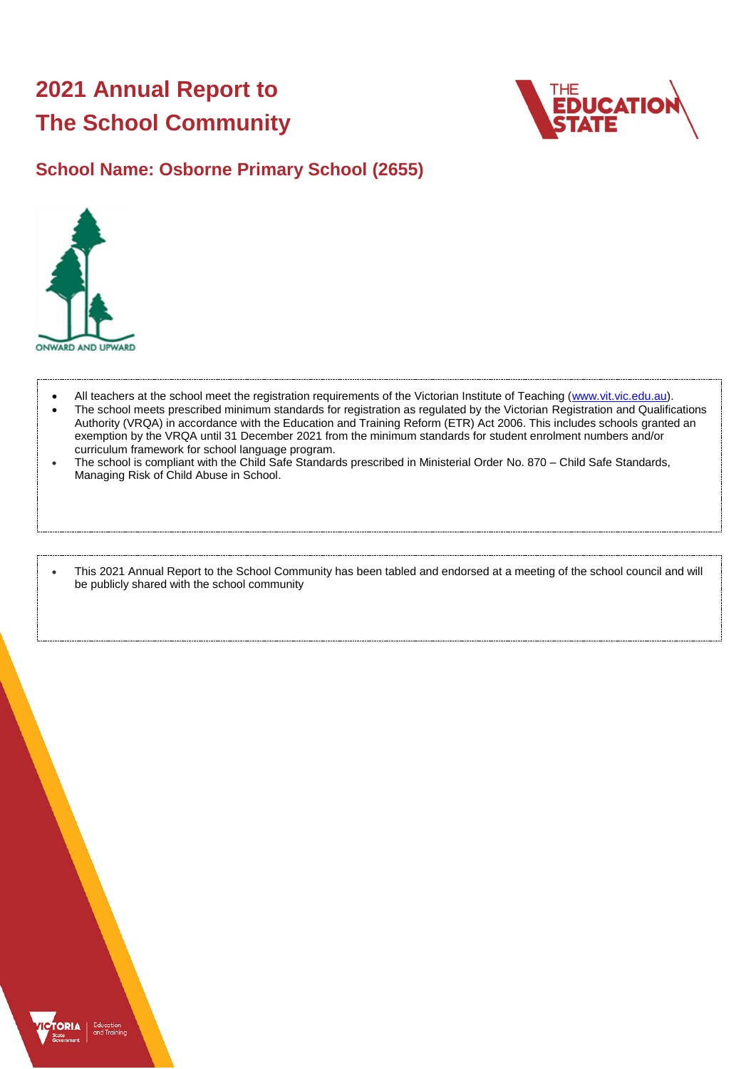## **2021 Annual Report to The School Community**



## **School Name: Osborne Primary School (2655)**



- All teachers at the school meet the registration requirements of the Victorian Institute of Teaching [\(www.vit.vic.edu.au\)](https://www.vit.vic.edu.au/).
- The school meets prescribed minimum standards for registration as regulated by the Victorian Registration and Qualifications Authority (VRQA) in accordance with the Education and Training Reform (ETR) Act 2006. This includes schools granted an exemption by the VRQA until 31 December 2021 from the minimum standards for student enrolment numbers and/or curriculum framework for school language program.
- The school is compliant with the Child Safe Standards prescribed in Ministerial Order No. 870 Child Safe Standards, Managing Risk of Child Abuse in School.

• This 2021 Annual Report to the School Community has been tabled and endorsed at a meeting of the school council and will be publicly shared with the school community

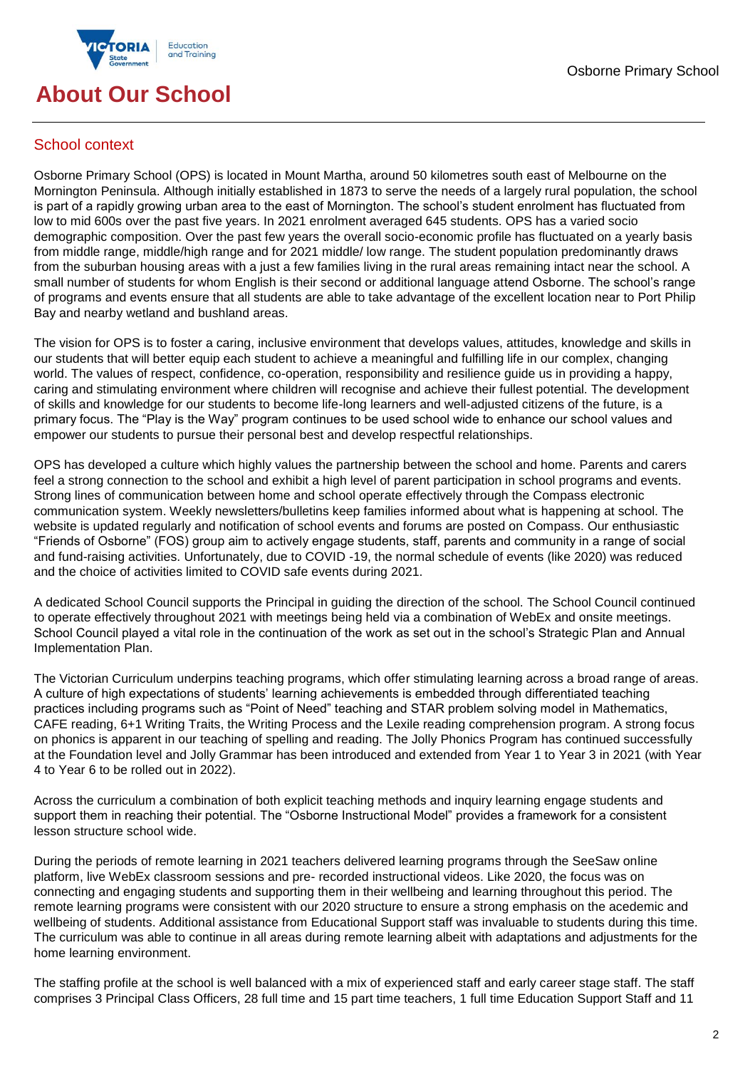

## **About Our School**

## School context

Osborne Primary School (OPS) is located in Mount Martha, around 50 kilometres south east of Melbourne on the Mornington Peninsula. Although initially established in 1873 to serve the needs of a largely rural population, the school is part of a rapidly growing urban area to the east of Mornington. The school's student enrolment has fluctuated from low to mid 600s over the past five years. In 2021 enrolment averaged 645 students. OPS has a varied socio demographic composition. Over the past few years the overall socio-economic profile has fluctuated on a yearly basis from middle range, middle/high range and for 2021 middle/ low range. The student population predominantly draws from the suburban housing areas with a just a few families living in the rural areas remaining intact near the school. A small number of students for whom English is their second or additional language attend Osborne. The school's range of programs and events ensure that all students are able to take advantage of the excellent location near to Port Philip Bay and nearby wetland and bushland areas.

The vision for OPS is to foster a caring, inclusive environment that develops values, attitudes, knowledge and skills in our students that will better equip each student to achieve a meaningful and fulfilling life in our complex, changing world. The values of respect, confidence, co-operation, responsibility and resilience guide us in providing a happy, caring and stimulating environment where children will recognise and achieve their fullest potential. The development of skills and knowledge for our students to become life-long learners and well-adjusted citizens of the future, is a primary focus. The "Play is the Way" program continues to be used school wide to enhance our school values and empower our students to pursue their personal best and develop respectful relationships.

OPS has developed a culture which highly values the partnership between the school and home. Parents and carers feel a strong connection to the school and exhibit a high level of parent participation in school programs and events. Strong lines of communication between home and school operate effectively through the Compass electronic communication system. Weekly newsletters/bulletins keep families informed about what is happening at school. The website is updated regularly and notification of school events and forums are posted on Compass. Our enthusiastic "Friends of Osborne" (FOS) group aim to actively engage students, staff, parents and community in a range of social and fund-raising activities. Unfortunately, due to COVID -19, the normal schedule of events (like 2020) was reduced and the choice of activities limited to COVID safe events during 2021.

A dedicated School Council supports the Principal in guiding the direction of the school. The School Council continued to operate effectively throughout 2021 with meetings being held via a combination of WebEx and onsite meetings. School Council played a vital role in the continuation of the work as set out in the school's Strategic Plan and Annual Implementation Plan.

The Victorian Curriculum underpins teaching programs, which offer stimulating learning across a broad range of areas. A culture of high expectations of students' learning achievements is embedded through differentiated teaching practices including programs such as "Point of Need" teaching and STAR problem solving model in Mathematics, CAFE reading, 6+1 Writing Traits, the Writing Process and the Lexile reading comprehension program. A strong focus on phonics is apparent in our teaching of spelling and reading. The Jolly Phonics Program has continued successfully at the Foundation level and Jolly Grammar has been introduced and extended from Year 1 to Year 3 in 2021 (with Year 4 to Year 6 to be rolled out in 2022).

Across the curriculum a combination of both explicit teaching methods and inquiry learning engage students and support them in reaching their potential. The "Osborne Instructional Model" provides a framework for a consistent lesson structure school wide.

During the periods of remote learning in 2021 teachers delivered learning programs through the SeeSaw online platform, live WebEx classroom sessions and pre- recorded instructional videos. Like 2020, the focus was on connecting and engaging students and supporting them in their wellbeing and learning throughout this period. The remote learning programs were consistent with our 2020 structure to ensure a strong emphasis on the acedemic and wellbeing of students. Additional assistance from Educational Support staff was invaluable to students during this time. The curriculum was able to continue in all areas during remote learning albeit with adaptations and adjustments for the home learning environment.

The staffing profile at the school is well balanced with a mix of experienced staff and early career stage staff. The staff comprises 3 Principal Class Officers, 28 full time and 15 part time teachers, 1 full time Education Support Staff and 11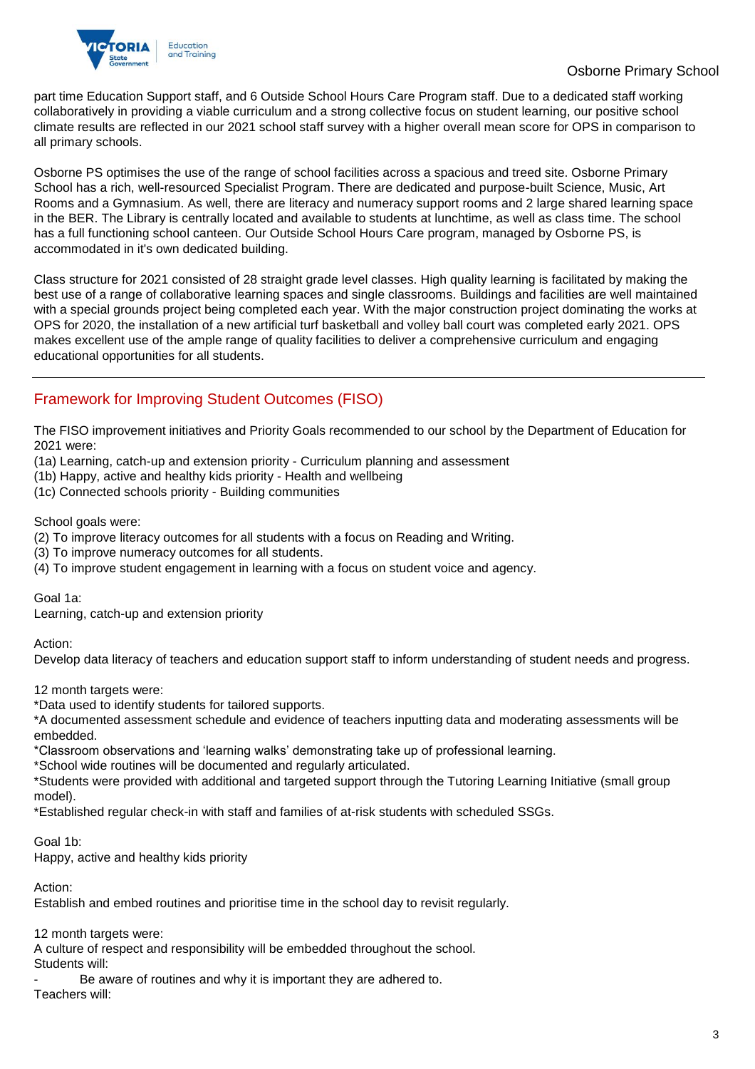

part time Education Support staff, and 6 Outside School Hours Care Program staff. Due to a dedicated staff working collaboratively in providing a viable curriculum and a strong collective focus on student learning, our positive school climate results are reflected in our 2021 school staff survey with a higher overall mean score for OPS in comparison to all primary schools.

Osborne PS optimises the use of the range of school facilities across a spacious and treed site. Osborne Primary School has a rich, well-resourced Specialist Program. There are dedicated and purpose-built Science, Music, Art Rooms and a Gymnasium. As well, there are literacy and numeracy support rooms and 2 large shared learning space in the BER. The Library is centrally located and available to students at lunchtime, as well as class time. The school has a full functioning school canteen. Our Outside School Hours Care program, managed by Osborne PS, is accommodated in it's own dedicated building.

Class structure for 2021 consisted of 28 straight grade level classes. High quality learning is facilitated by making the best use of a range of collaborative learning spaces and single classrooms. Buildings and facilities are well maintained with a special grounds project being completed each year. With the major construction project dominating the works at OPS for 2020, the installation of a new artificial turf basketball and volley ball court was completed early 2021. OPS makes excellent use of the ample range of quality facilities to deliver a comprehensive curriculum and engaging educational opportunities for all students.

## Framework for Improving Student Outcomes (FISO)

The FISO improvement initiatives and Priority Goals recommended to our school by the Department of Education for 2021 were:

(1a) Learning, catch-up and extension priority - Curriculum planning and assessment

(1b) Happy, active and healthy kids priority - Health and wellbeing

(1c) Connected schools priority - Building communities

School goals were:

(2) To improve literacy outcomes for all students with a focus on Reading and Writing.

(3) To improve numeracy outcomes for all students.

(4) To improve student engagement in learning with a focus on student voice and agency.

Goal 1a:

Learning, catch-up and extension priority

Action:

Develop data literacy of teachers and education support staff to inform understanding of student needs and progress.

12 month targets were:

\*Data used to identify students for tailored supports.

\*A documented assessment schedule and evidence of teachers inputting data and moderating assessments will be embedded.

\*Classroom observations and 'learning walks' demonstrating take up of professional learning.

\*School wide routines will be documented and regularly articulated.

\*Students were provided with additional and targeted support through the Tutoring Learning Initiative (small group model).

\*Established regular check-in with staff and families of at-risk students with scheduled SSGs.

Goal 1b:

Happy, active and healthy kids priority

Action:

Establish and embed routines and prioritise time in the school day to revisit regularly.

12 month targets were:

A culture of respect and responsibility will be embedded throughout the school.

Students will:

Be aware of routines and why it is important they are adhered to. Teachers will: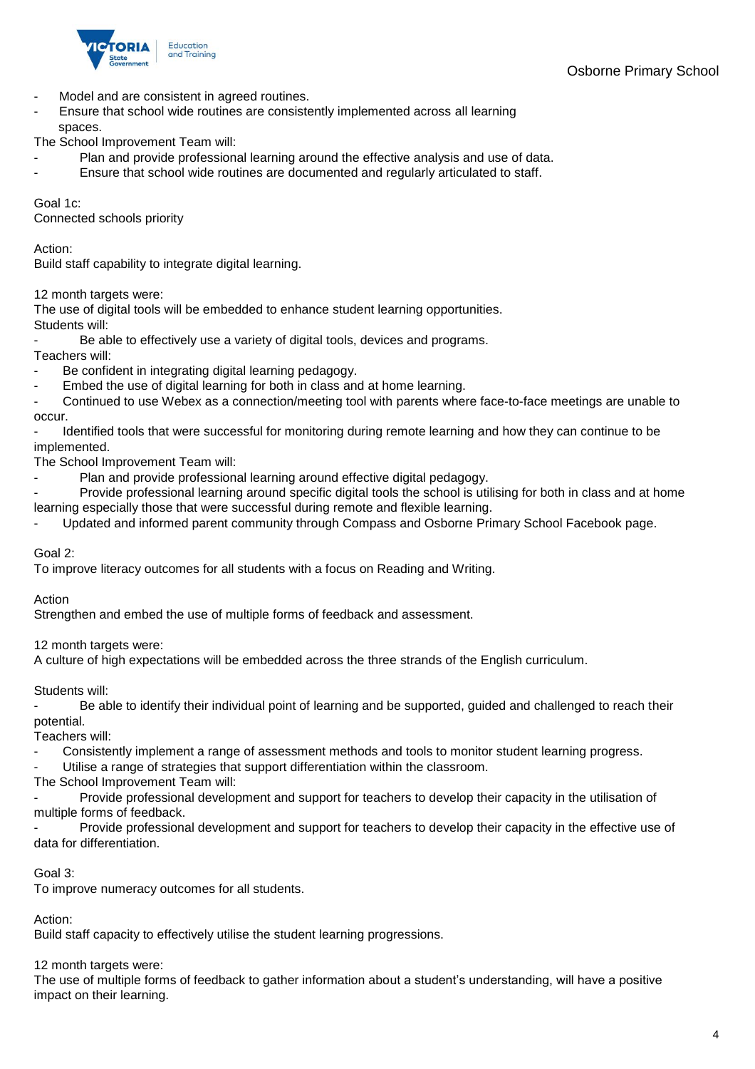

- Model and are consistent in agreed routines.
- Ensure that school wide routines are consistently implemented across all learning spaces.

The School Improvement Team will:

- Plan and provide professional learning around the effective analysis and use of data.
- Ensure that school wide routines are documented and regularly articulated to staff.

Goal 1c:

Connected schools priority

Action:

Build staff capability to integrate digital learning.

12 month targets were:

The use of digital tools will be embedded to enhance student learning opportunities. Students will:

Be able to effectively use a variety of digital tools, devices and programs.

- Teachers will:
- Be confident in integrating digital learning pedagogy. Embed the use of digital learning for both in class and at home learning.
- Continued to use Webex as a connection/meeting tool with parents where face-to-face meetings are unable to

occur.

Identified tools that were successful for monitoring during remote learning and how they can continue to be implemented.

The School Improvement Team will:

- Plan and provide professional learning around effective digital pedagogy.
- Provide professional learning around specific digital tools the school is utilising for both in class and at home learning especially those that were successful during remote and flexible learning.
- Updated and informed parent community through Compass and Osborne Primary School Facebook page.

#### Goal 2:

To improve literacy outcomes for all students with a focus on Reading and Writing.

Action

Strengthen and embed the use of multiple forms of feedback and assessment.

12 month targets were:

A culture of high expectations will be embedded across the three strands of the English curriculum.

Students will:

Be able to identify their individual point of learning and be supported, guided and challenged to reach their potential.

Teachers will:

- Consistently implement a range of assessment methods and tools to monitor student learning progress.
- Utilise a range of strategies that support differentiation within the classroom.

The School Improvement Team will:

Provide professional development and support for teachers to develop their capacity in the utilisation of multiple forms of feedback.

Provide professional development and support for teachers to develop their capacity in the effective use of data for differentiation.

#### Goal 3:

To improve numeracy outcomes for all students.

#### Action:

Build staff capacity to effectively utilise the student learning progressions.

#### 12 month targets were:

The use of multiple forms of feedback to gather information about a student's understanding, will have a positive impact on their learning.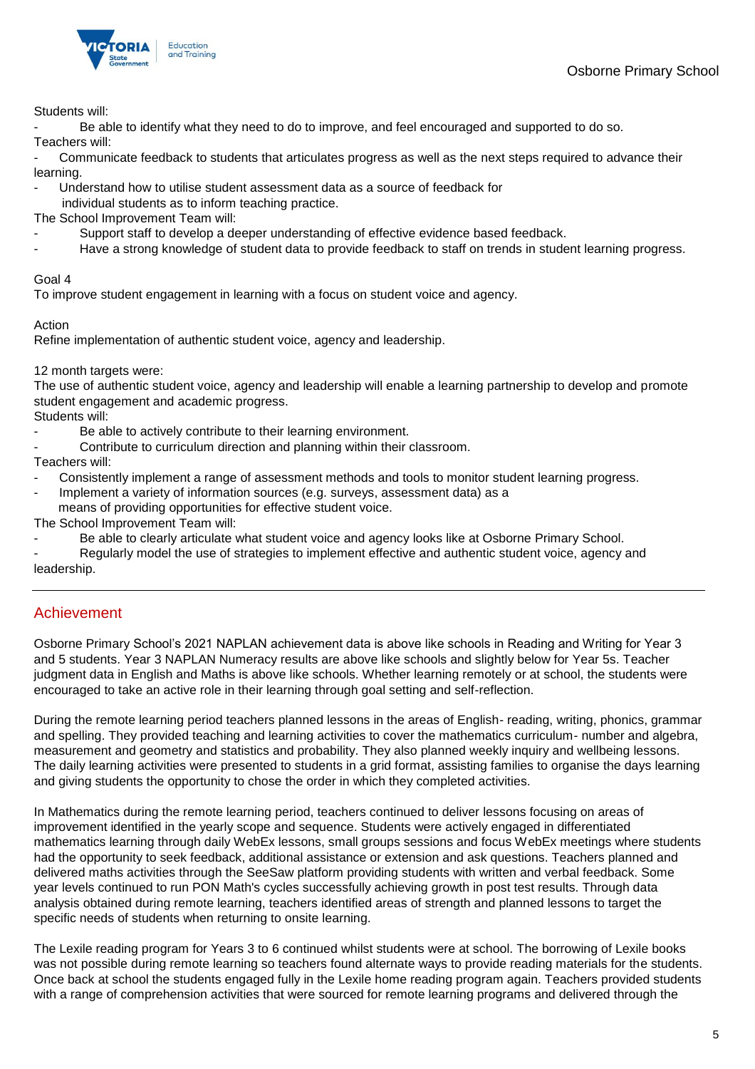

Students will:

Be able to identify what they need to do to improve, and feel encouraged and supported to do so.

Teachers will:

Communicate feedback to students that articulates progress as well as the next steps required to advance their learning.

- Understand how to utilise student assessment data as a source of feedback for

individual students as to inform teaching practice.

The School Improvement Team will:

- Support staff to develop a deeper understanding of effective evidence based feedback.
- Have a strong knowledge of student data to provide feedback to staff on trends in student learning progress.

#### Goal 4

To improve student engagement in learning with a focus on student voice and agency.

#### Action

Refine implementation of authentic student voice, agency and leadership.

12 month targets were:

The use of authentic student voice, agency and leadership will enable a learning partnership to develop and promote student engagement and academic progress.

Students will:

- Be able to actively contribute to their learning environment.
- Contribute to curriculum direction and planning within their classroom.

Teachers will:

- Consistently implement a range of assessment methods and tools to monitor student learning progress.
- Implement a variety of information sources (e.g. surveys, assessment data) as a means of providing opportunities for effective student voice.

The School Improvement Team will:

- Be able to clearly articulate what student voice and agency looks like at Osborne Primary School.
- Regularly model the use of strategies to implement effective and authentic student voice, agency and leadership.

## Achievement

Osborne Primary School's 2021 NAPLAN achievement data is above like schools in Reading and Writing for Year 3 and 5 students. Year 3 NAPLAN Numeracy results are above like schools and slightly below for Year 5s. Teacher judgment data in English and Maths is above like schools. Whether learning remotely or at school, the students were encouraged to take an active role in their learning through goal setting and self-reflection.

During the remote learning period teachers planned lessons in the areas of English- reading, writing, phonics, grammar and spelling. They provided teaching and learning activities to cover the mathematics curriculum- number and algebra, measurement and geometry and statistics and probability. They also planned weekly inquiry and wellbeing lessons. The daily learning activities were presented to students in a grid format, assisting families to organise the days learning and giving students the opportunity to chose the order in which they completed activities.

In Mathematics during the remote learning period, teachers continued to deliver lessons focusing on areas of improvement identified in the yearly scope and sequence. Students were actively engaged in differentiated mathematics learning through daily WebEx lessons, small groups sessions and focus WebEx meetings where students had the opportunity to seek feedback, additional assistance or extension and ask questions. Teachers planned and delivered maths activities through the SeeSaw platform providing students with written and verbal feedback. Some year levels continued to run PON Math's cycles successfully achieving growth in post test results. Through data analysis obtained during remote learning, teachers identified areas of strength and planned lessons to target the specific needs of students when returning to onsite learning.

The Lexile reading program for Years 3 to 6 continued whilst students were at school. The borrowing of Lexile books was not possible during remote learning so teachers found alternate ways to provide reading materials for the students. Once back at school the students engaged fully in the Lexile home reading program again. Teachers provided students with a range of comprehension activities that were sourced for remote learning programs and delivered through the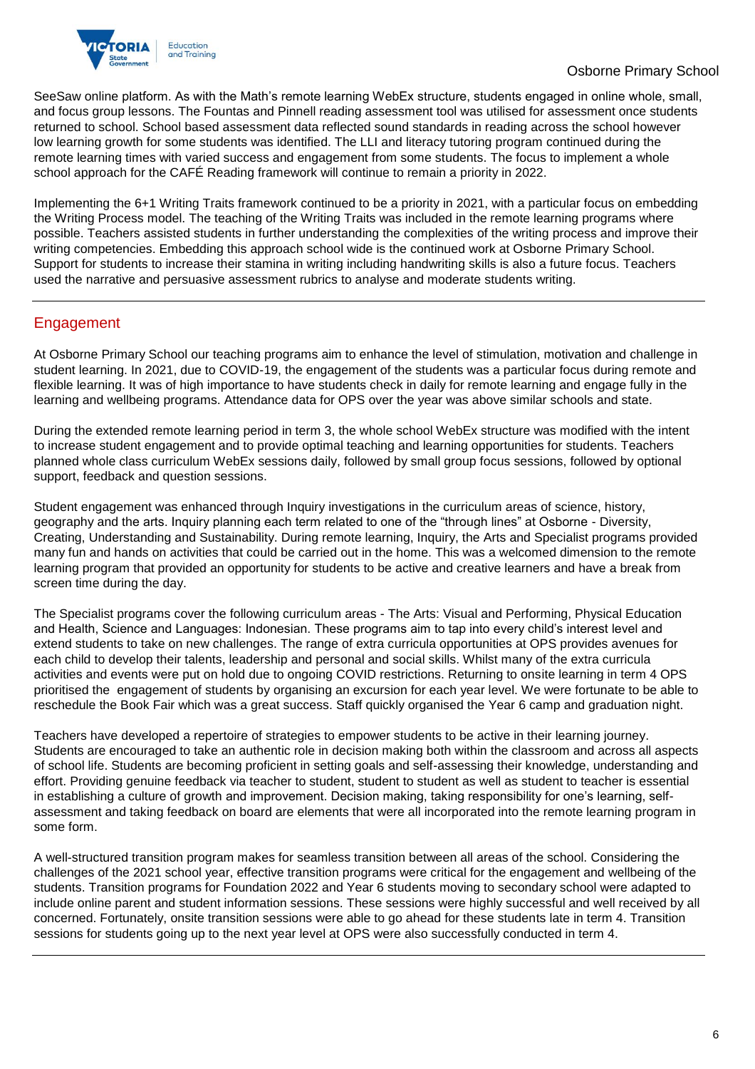

SeeSaw online platform. As with the Math's remote learning WebEx structure, students engaged in online whole, small, and focus group lessons. The Fountas and Pinnell reading assessment tool was utilised for assessment once students returned to school. School based assessment data reflected sound standards in reading across the school however low learning growth for some students was identified. The LLI and literacy tutoring program continued during the remote learning times with varied success and engagement from some students. The focus to implement a whole school approach for the CAFÉ Reading framework will continue to remain a priority in 2022.

Implementing the 6+1 Writing Traits framework continued to be a priority in 2021, with a particular focus on embedding the Writing Process model. The teaching of the Writing Traits was included in the remote learning programs where possible. Teachers assisted students in further understanding the complexities of the writing process and improve their writing competencies. Embedding this approach school wide is the continued work at Osborne Primary School. Support for students to increase their stamina in writing including handwriting skills is also a future focus. Teachers used the narrative and persuasive assessment rubrics to analyse and moderate students writing.

## Engagement

At Osborne Primary School our teaching programs aim to enhance the level of stimulation, motivation and challenge in student learning. In 2021, due to COVID-19, the engagement of the students was a particular focus during remote and flexible learning. It was of high importance to have students check in daily for remote learning and engage fully in the learning and wellbeing programs. Attendance data for OPS over the year was above similar schools and state.

During the extended remote learning period in term 3, the whole school WebEx structure was modified with the intent to increase student engagement and to provide optimal teaching and learning opportunities for students. Teachers planned whole class curriculum WebEx sessions daily, followed by small group focus sessions, followed by optional support, feedback and question sessions.

Student engagement was enhanced through Inquiry investigations in the curriculum areas of science, history, geography and the arts. Inquiry planning each term related to one of the "through lines" at Osborne - Diversity, Creating, Understanding and Sustainability. During remote learning, Inquiry, the Arts and Specialist programs provided many fun and hands on activities that could be carried out in the home. This was a welcomed dimension to the remote learning program that provided an opportunity for students to be active and creative learners and have a break from screen time during the day.

The Specialist programs cover the following curriculum areas - The Arts: Visual and Performing, Physical Education and Health, Science and Languages: Indonesian. These programs aim to tap into every child's interest level and extend students to take on new challenges. The range of extra curricula opportunities at OPS provides avenues for each child to develop their talents, leadership and personal and social skills. Whilst many of the extra curricula activities and events were put on hold due to ongoing COVID restrictions. Returning to onsite learning in term 4 OPS prioritised the engagement of students by organising an excursion for each year level. We were fortunate to be able to reschedule the Book Fair which was a great success. Staff quickly organised the Year 6 camp and graduation night.

Teachers have developed a repertoire of strategies to empower students to be active in their learning journey. Students are encouraged to take an authentic role in decision making both within the classroom and across all aspects of school life. Students are becoming proficient in setting goals and self-assessing their knowledge, understanding and effort. Providing genuine feedback via teacher to student, student to student as well as student to teacher is essential in establishing a culture of growth and improvement. Decision making, taking responsibility for one's learning, selfassessment and taking feedback on board are elements that were all incorporated into the remote learning program in some form.

A well-structured transition program makes for seamless transition between all areas of the school. Considering the challenges of the 2021 school year, effective transition programs were critical for the engagement and wellbeing of the students. Transition programs for Foundation 2022 and Year 6 students moving to secondary school were adapted to include online parent and student information sessions. These sessions were highly successful and well received by all concerned. Fortunately, onsite transition sessions were able to go ahead for these students late in term 4. Transition sessions for students going up to the next year level at OPS were also successfully conducted in term 4.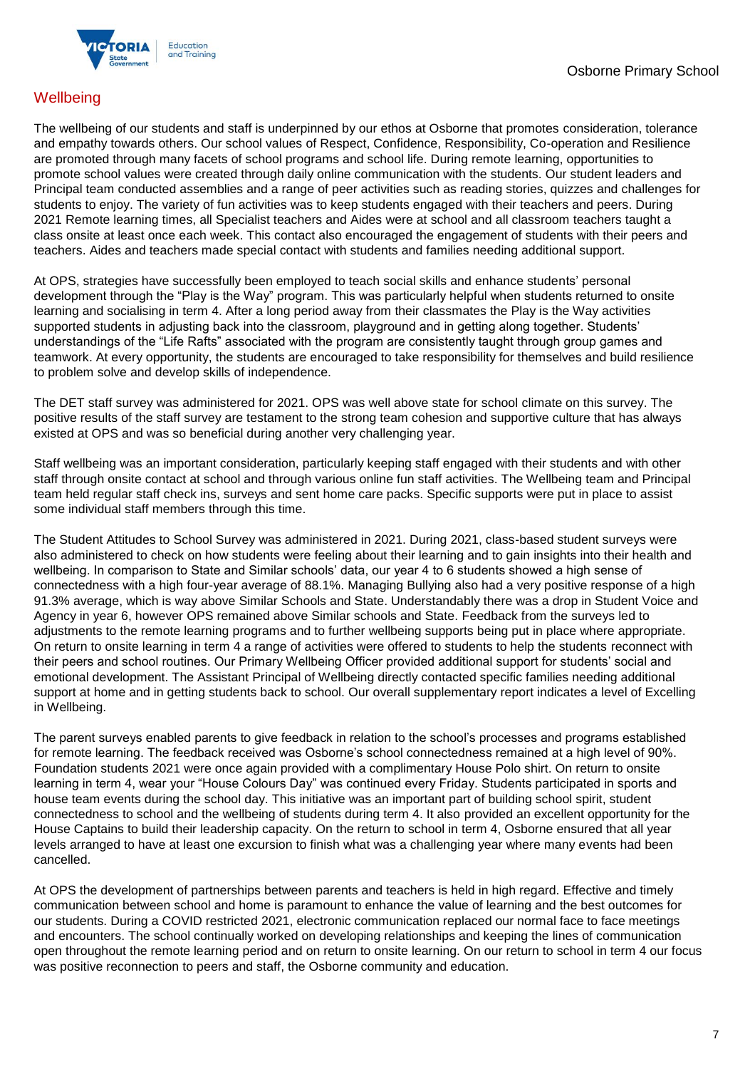

## **Wellbeing**

The wellbeing of our students and staff is underpinned by our ethos at Osborne that promotes consideration, tolerance and empathy towards others. Our school values of Respect, Confidence, Responsibility, Co-operation and Resilience are promoted through many facets of school programs and school life. During remote learning, opportunities to promote school values were created through daily online communication with the students. Our student leaders and Principal team conducted assemblies and a range of peer activities such as reading stories, quizzes and challenges for students to enjoy. The variety of fun activities was to keep students engaged with their teachers and peers. During 2021 Remote learning times, all Specialist teachers and Aides were at school and all classroom teachers taught a class onsite at least once each week. This contact also encouraged the engagement of students with their peers and teachers. Aides and teachers made special contact with students and families needing additional support.

At OPS, strategies have successfully been employed to teach social skills and enhance students' personal development through the "Play is the Way" program. This was particularly helpful when students returned to onsite learning and socialising in term 4. After a long period away from their classmates the Play is the Way activities supported students in adjusting back into the classroom, playground and in getting along together. Students' understandings of the "Life Rafts" associated with the program are consistently taught through group games and teamwork. At every opportunity, the students are encouraged to take responsibility for themselves and build resilience to problem solve and develop skills of independence.

The DET staff survey was administered for 2021. OPS was well above state for school climate on this survey. The positive results of the staff survey are testament to the strong team cohesion and supportive culture that has always existed at OPS and was so beneficial during another very challenging year.

Staff wellbeing was an important consideration, particularly keeping staff engaged with their students and with other staff through onsite contact at school and through various online fun staff activities. The Wellbeing team and Principal team held regular staff check ins, surveys and sent home care packs. Specific supports were put in place to assist some individual staff members through this time.

The Student Attitudes to School Survey was administered in 2021. During 2021, class-based student surveys were also administered to check on how students were feeling about their learning and to gain insights into their health and wellbeing. In comparison to State and Similar schools' data, our year 4 to 6 students showed a high sense of connectedness with a high four-year average of 88.1%. Managing Bullying also had a very positive response of a high 91.3% average, which is way above Similar Schools and State. Understandably there was a drop in Student Voice and Agency in year 6, however OPS remained above Similar schools and State. Feedback from the surveys led to adjustments to the remote learning programs and to further wellbeing supports being put in place where appropriate. On return to onsite learning in term 4 a range of activities were offered to students to help the students reconnect with their peers and school routines. Our Primary Wellbeing Officer provided additional support for students' social and emotional development. The Assistant Principal of Wellbeing directly contacted specific families needing additional support at home and in getting students back to school. Our overall supplementary report indicates a level of Excelling in Wellbeing.

The parent surveys enabled parents to give feedback in relation to the school's processes and programs established for remote learning. The feedback received was Osborne's school connectedness remained at a high level of 90%. Foundation students 2021 were once again provided with a complimentary House Polo shirt. On return to onsite learning in term 4, wear your "House Colours Day" was continued every Friday. Students participated in sports and house team events during the school day. This initiative was an important part of building school spirit, student connectedness to school and the wellbeing of students during term 4. It also provided an excellent opportunity for the House Captains to build their leadership capacity. On the return to school in term 4, Osborne ensured that all year levels arranged to have at least one excursion to finish what was a challenging year where many events had been cancelled.

At OPS the development of partnerships between parents and teachers is held in high regard. Effective and timely communication between school and home is paramount to enhance the value of learning and the best outcomes for our students. During a COVID restricted 2021, electronic communication replaced our normal face to face meetings and encounters. The school continually worked on developing relationships and keeping the lines of communication open throughout the remote learning period and on return to onsite learning. On our return to school in term 4 our focus was positive reconnection to peers and staff, the Osborne community and education.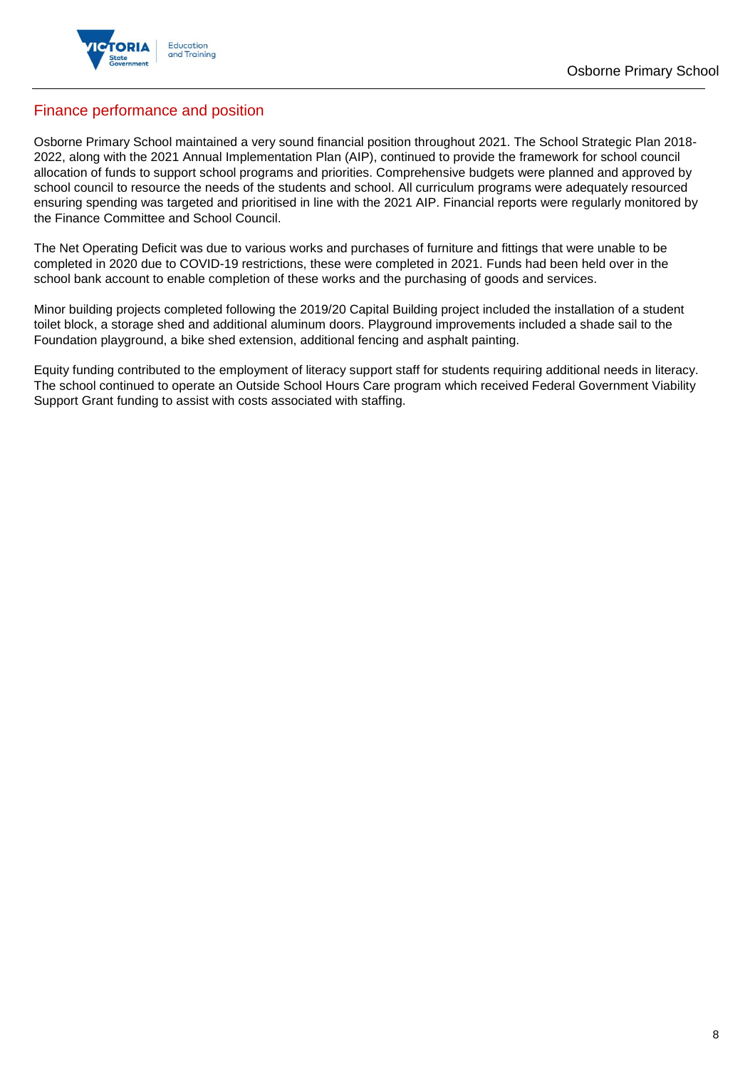

## Finance performance and position

Osborne Primary School maintained a very sound financial position throughout 2021. The School Strategic Plan 2018- 2022, along with the 2021 Annual Implementation Plan (AIP), continued to provide the framework for school council allocation of funds to support school programs and priorities. Comprehensive budgets were planned and approved by school council to resource the needs of the students and school. All curriculum programs were adequately resourced ensuring spending was targeted and prioritised in line with the 2021 AIP. Financial reports were regularly monitored by the Finance Committee and School Council.

The Net Operating Deficit was due to various works and purchases of furniture and fittings that were unable to be completed in 2020 due to COVID-19 restrictions, these were completed in 2021. Funds had been held over in the school bank account to enable completion of these works and the purchasing of goods and services.

Minor building projects completed following the 2019/20 Capital Building project included the installation of a student toilet block, a storage shed and additional aluminum doors. Playground improvements included a shade sail to the Foundation playground, a bike shed extension, additional fencing and asphalt painting.

Equity funding contributed to the employment of literacy support staff for students requiring additional needs in literacy. The school continued to operate an Outside School Hours Care program which received Federal Government Viability Support Grant funding to assist with costs associated with staffing.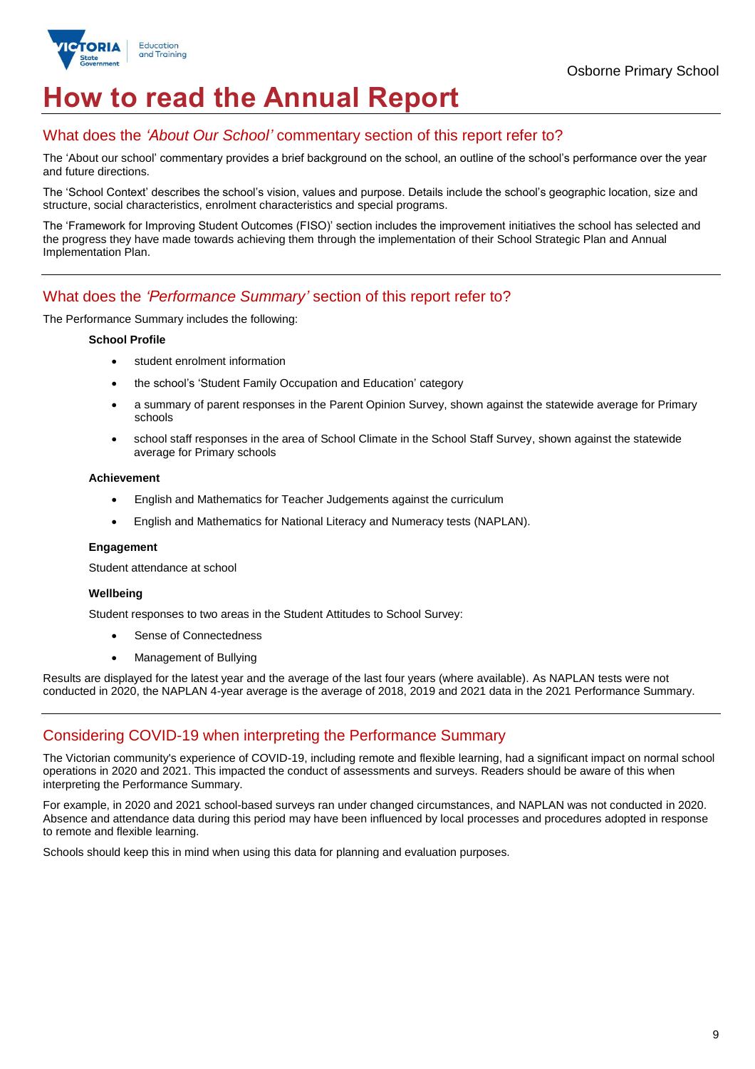

## **How to read the Annual Report**

### What does the *'About Our School'* commentary section of this report refer to?

The 'About our school' commentary provides a brief background on the school, an outline of the school's performance over the year and future directions.

The 'School Context' describes the school's vision, values and purpose. Details include the school's geographic location, size and structure, social characteristics, enrolment characteristics and special programs.

The 'Framework for Improving Student Outcomes (FISO)' section includes the improvement initiatives the school has selected and the progress they have made towards achieving them through the implementation of their School Strategic Plan and Annual Implementation Plan.

## What does the *'Performance Summary'* section of this report refer to?

The Performance Summary includes the following:

#### **School Profile**

- student enrolment information
- the school's 'Student Family Occupation and Education' category
- a summary of parent responses in the Parent Opinion Survey, shown against the statewide average for Primary schools
- school staff responses in the area of School Climate in the School Staff Survey, shown against the statewide average for Primary schools

#### **Achievement**

- English and Mathematics for Teacher Judgements against the curriculum
- English and Mathematics for National Literacy and Numeracy tests (NAPLAN).

#### **Engagement**

Student attendance at school

#### **Wellbeing**

Student responses to two areas in the Student Attitudes to School Survey:

- Sense of Connectedness
- Management of Bullying

Results are displayed for the latest year and the average of the last four years (where available). As NAPLAN tests were not conducted in 2020, the NAPLAN 4-year average is the average of 2018, 2019 and 2021 data in the 2021 Performance Summary.

### Considering COVID-19 when interpreting the Performance Summary

The Victorian community's experience of COVID-19, including remote and flexible learning, had a significant impact on normal school operations in 2020 and 2021. This impacted the conduct of assessments and surveys. Readers should be aware of this when interpreting the Performance Summary.

For example, in 2020 and 2021 school-based surveys ran under changed circumstances, and NAPLAN was not conducted in 2020. Absence and attendance data during this period may have been influenced by local processes and procedures adopted in response to remote and flexible learning.

Schools should keep this in mind when using this data for planning and evaluation purposes.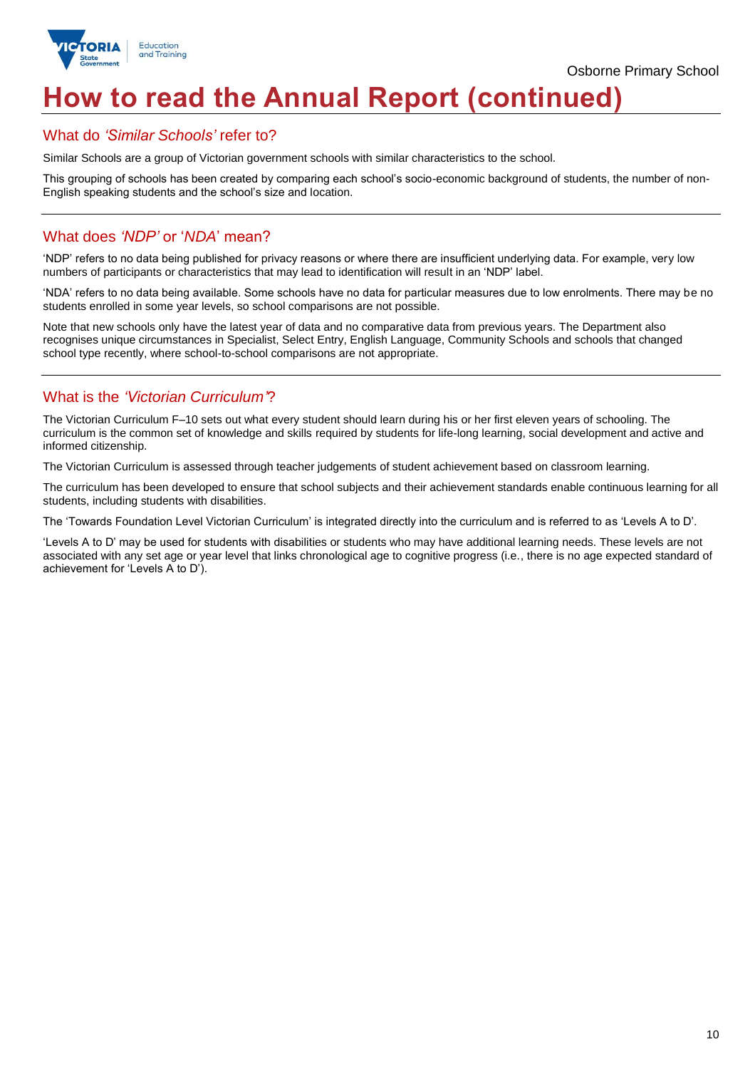

Osborne Primary School

# **How to read the Annual Report (continued)**

## What do *'Similar Schools'* refer to?

Similar Schools are a group of Victorian government schools with similar characteristics to the school.

This grouping of schools has been created by comparing each school's socio-economic background of students, the number of non-English speaking students and the school's size and location.

## What does *'NDP'* or '*NDA*' mean?

'NDP' refers to no data being published for privacy reasons or where there are insufficient underlying data. For example, very low numbers of participants or characteristics that may lead to identification will result in an 'NDP' label.

'NDA' refers to no data being available. Some schools have no data for particular measures due to low enrolments. There may be no students enrolled in some year levels, so school comparisons are not possible.

Note that new schools only have the latest year of data and no comparative data from previous years. The Department also recognises unique circumstances in Specialist, Select Entry, English Language, Community Schools and schools that changed school type recently, where school-to-school comparisons are not appropriate.

## What is the *'Victorian Curriculum'*?

The Victorian Curriculum F–10 sets out what every student should learn during his or her first eleven years of schooling. The curriculum is the common set of knowledge and skills required by students for life-long learning, social development and active and informed citizenship.

The Victorian Curriculum is assessed through teacher judgements of student achievement based on classroom learning.

The curriculum has been developed to ensure that school subjects and their achievement standards enable continuous learning for all students, including students with disabilities.

The 'Towards Foundation Level Victorian Curriculum' is integrated directly into the curriculum and is referred to as 'Levels A to D'.

'Levels A to D' may be used for students with disabilities or students who may have additional learning needs. These levels are not associated with any set age or year level that links chronological age to cognitive progress (i.e., there is no age expected standard of achievement for 'Levels A to D').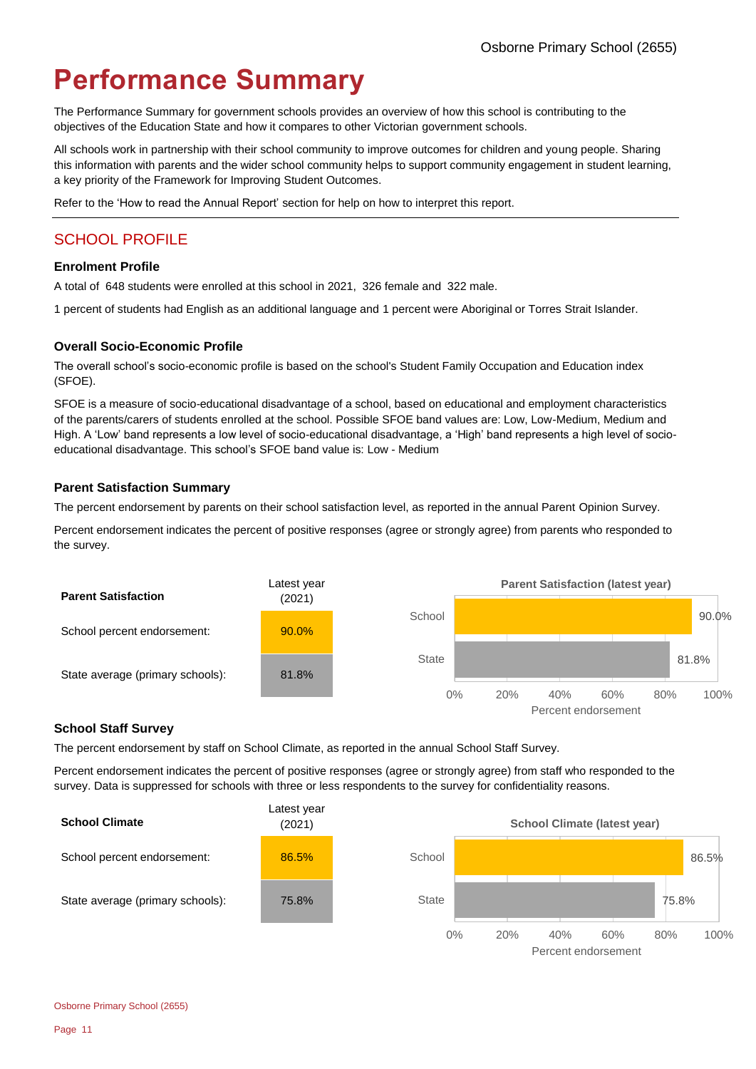# **Performance Summary**

The Performance Summary for government schools provides an overview of how this school is contributing to the objectives of the Education State and how it compares to other Victorian government schools.

All schools work in partnership with their school community to improve outcomes for children and young people. Sharing this information with parents and the wider school community helps to support community engagement in student learning, a key priority of the Framework for Improving Student Outcomes.

Refer to the 'How to read the Annual Report' section for help on how to interpret this report.

## SCHOOL PROFILE

#### **Enrolment Profile**

A total of 648 students were enrolled at this school in 2021, 326 female and 322 male.

1 percent of students had English as an additional language and 1 percent were Aboriginal or Torres Strait Islander.

#### **Overall Socio-Economic Profile**

The overall school's socio-economic profile is based on the school's Student Family Occupation and Education index (SFOE).

SFOE is a measure of socio-educational disadvantage of a school, based on educational and employment characteristics of the parents/carers of students enrolled at the school. Possible SFOE band values are: Low, Low-Medium, Medium and High. A 'Low' band represents a low level of socio-educational disadvantage, a 'High' band represents a high level of socioeducational disadvantage. This school's SFOE band value is: Low - Medium

#### **Parent Satisfaction Summary**

The percent endorsement by parents on their school satisfaction level, as reported in the annual Parent Opinion Survey.

Percent endorsement indicates the percent of positive responses (agree or strongly agree) from parents who responded to the survey.



#### **School Staff Survey**

The percent endorsement by staff on School Climate, as reported in the annual School Staff Survey.

Percent endorsement indicates the percent of positive responses (agree or strongly agree) from staff who responded to the survey. Data is suppressed for schools with three or less respondents to the survey for confidentiality reasons.

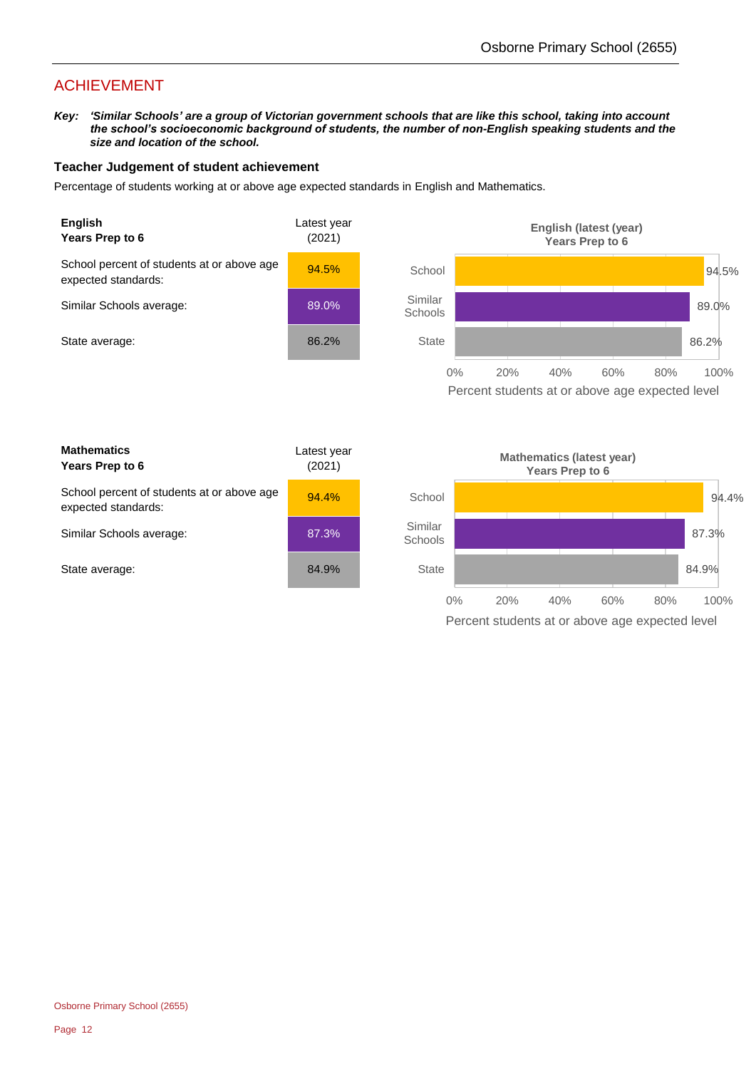## ACHIEVEMENT

*Key: 'Similar Schools' are a group of Victorian government schools that are like this school, taking into account the school's socioeconomic background of students, the number of non-English speaking students and the size and location of the school.*

#### **Teacher Judgement of student achievement**

Percentage of students working at or above age expected standards in English and Mathematics.



Percent students at or above age expected level

| <b>Mathematics</b><br>Years Prep to 6                             | Latest year<br>(2021) |
|-------------------------------------------------------------------|-----------------------|
| School percent of students at or above age<br>expected standards: | $94.4\%$              |
| Similar Schools average:                                          | 87.3%                 |
| State average:                                                    | 84.9%                 |

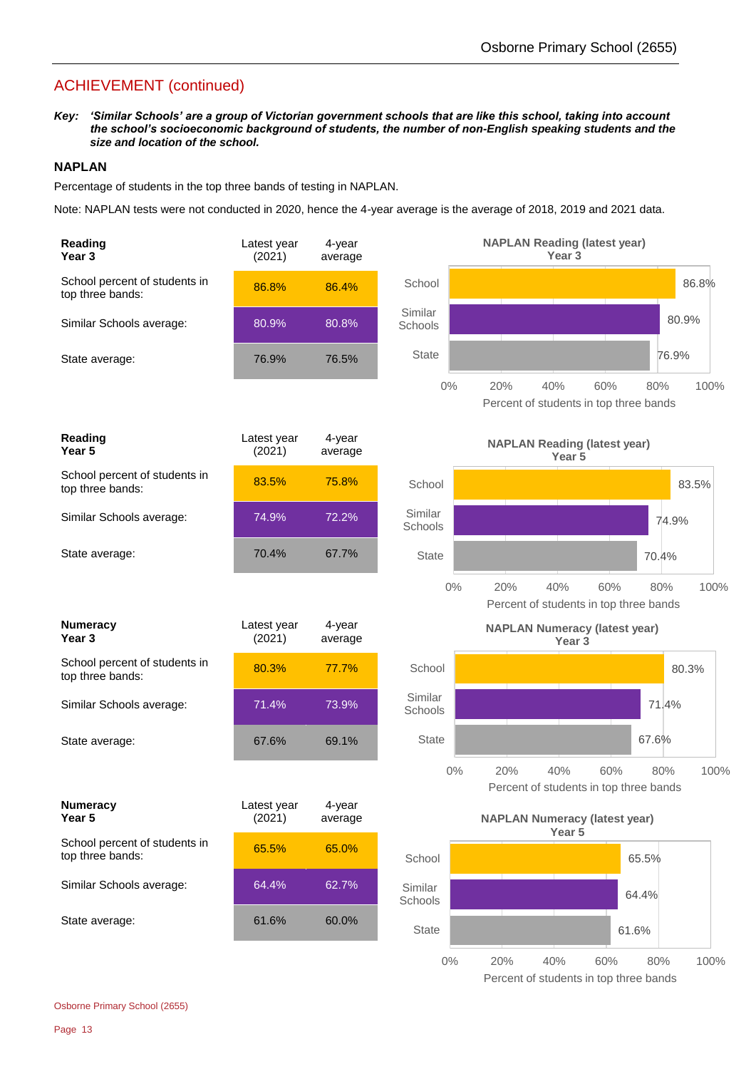## ACHIEVEMENT (continued)

*Key: 'Similar Schools' are a group of Victorian government schools that are like this school, taking into account the school's socioeconomic background of students, the number of non-English speaking students and the size and location of the school.*

#### **NAPLAN**

Percentage of students in the top three bands of testing in NAPLAN.

Note: NAPLAN tests were not conducted in 2020, hence the 4-year average is the average of 2018, 2019 and 2021 data.

| Reading<br>Year <sub>3</sub>                      | Latest year<br>(2021) | 4-year<br>average |                    | <b>NAPLAN Reading (latest year)</b><br>Year <sub>3</sub>                   |
|---------------------------------------------------|-----------------------|-------------------|--------------------|----------------------------------------------------------------------------|
| School percent of students in<br>top three bands: | 86.8%                 | 86.4%             | School             | 86.8%                                                                      |
| Similar Schools average:                          | 80.9%                 | 80.8%             | Similar<br>Schools | 80.9%                                                                      |
| State average:                                    | 76.9%                 | 76.5%             | State              | 76.9%                                                                      |
|                                                   |                       |                   | $0\%$              | 40%<br>60%<br>100%<br>20%<br>80%<br>Percent of students in top three bands |
| Reading<br>Year 5                                 | Latest year<br>(2021) | 4-year<br>average |                    | <b>NAPLAN Reading (latest year)</b><br>Year <sub>5</sub>                   |
| School percent of students in<br>top three bands: | 83.5%                 | 75.8%             | School             | 83.5%                                                                      |
| Similar Schools average:                          | 74.9%                 | 72.2%             | Similar<br>Schools | 74.9%                                                                      |
| State average:                                    | 70.4%                 | 67.7%             | <b>State</b>       | 70.4%                                                                      |
|                                                   |                       |                   | $0\%$              | 20%<br>40%<br>60%<br>80%<br>100%<br>Percent of students in top three bands |
| <b>Numeracy</b><br>Year <sub>3</sub>              | Latest year<br>(2021) | 4-year<br>average |                    | <b>NAPLAN Numeracy (latest year)</b><br>Year <sub>3</sub>                  |
| School percent of students in<br>top three bands: | 80.3%                 | 77.7%             | School             | 80.3%                                                                      |
| Similar Schools average:                          | 71.4%                 | 73.9%             | Similar<br>Schools | 71.4%                                                                      |
| State average:                                    | 67.6%                 | 69.1%             | <b>State</b>       | 67.6%                                                                      |
|                                                   |                       |                   | $0\%$              | 20%<br>40%<br>60%<br>80%<br>100%<br>Percent of students in top three bands |
| <b>Numeracy</b><br>Year 5                         | Latest year<br>(2021) | 4-year<br>average |                    | <b>NAPLAN Numeracy (latest year)</b>                                       |
| School percent of students in<br>top three bands: | 65.5%                 | 65.0%             | School             | Year <sub>5</sub><br>65.5%                                                 |
| Similar Schools average:                          | 64.4%                 | 62.7%             | Similar<br>Schools | 64.4%                                                                      |
| State average:                                    | 61.6%                 | 60.0%             | <b>State</b>       | 61.6%                                                                      |
|                                                   |                       |                   | $0\%$              | 100%<br>20%<br>40%<br>60%<br>80%<br>Percent of students in top three bands |

Osborne Primary School (2655)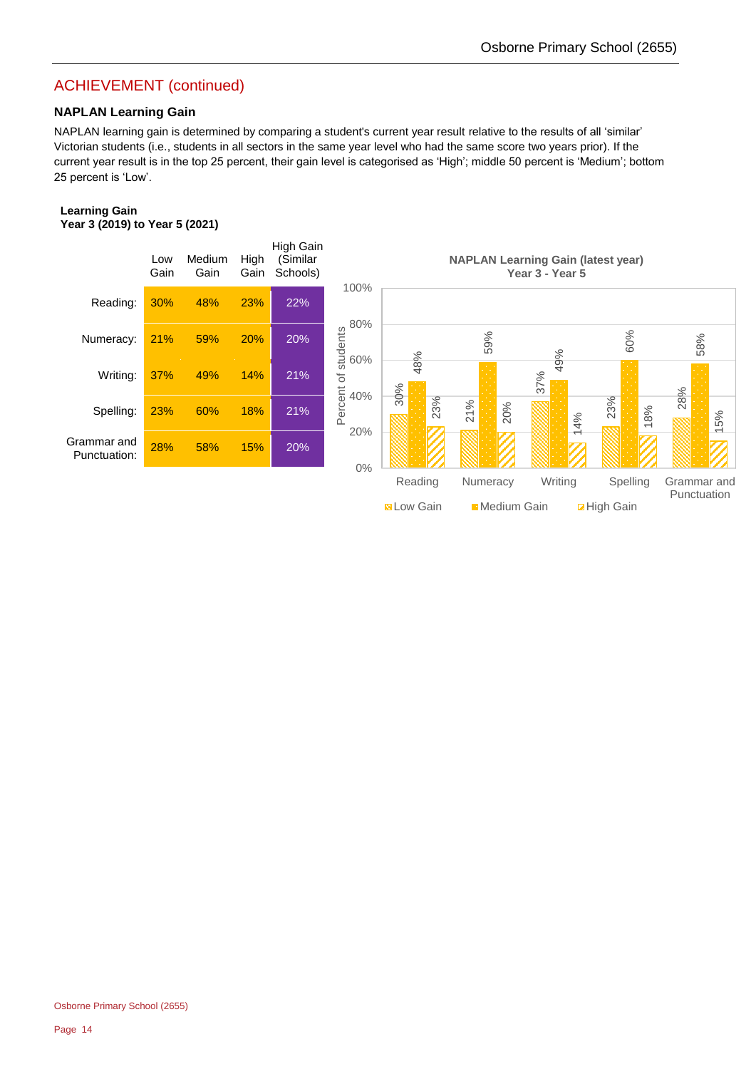## ACHIEVEMENT (continued)

#### **NAPLAN Learning Gain**

NAPLAN learning gain is determined by comparing a student's current year result relative to the results of all 'similar' Victorian students (i.e., students in all sectors in the same year level who had the same score two years prior). If the current year result is in the top 25 percent, their gain level is categorised as 'High'; middle 50 percent is 'Medium'; bottom 25 percent is 'Low'.

#### **Learning Gain Year 3 (2019) to Year 5 (2021)**

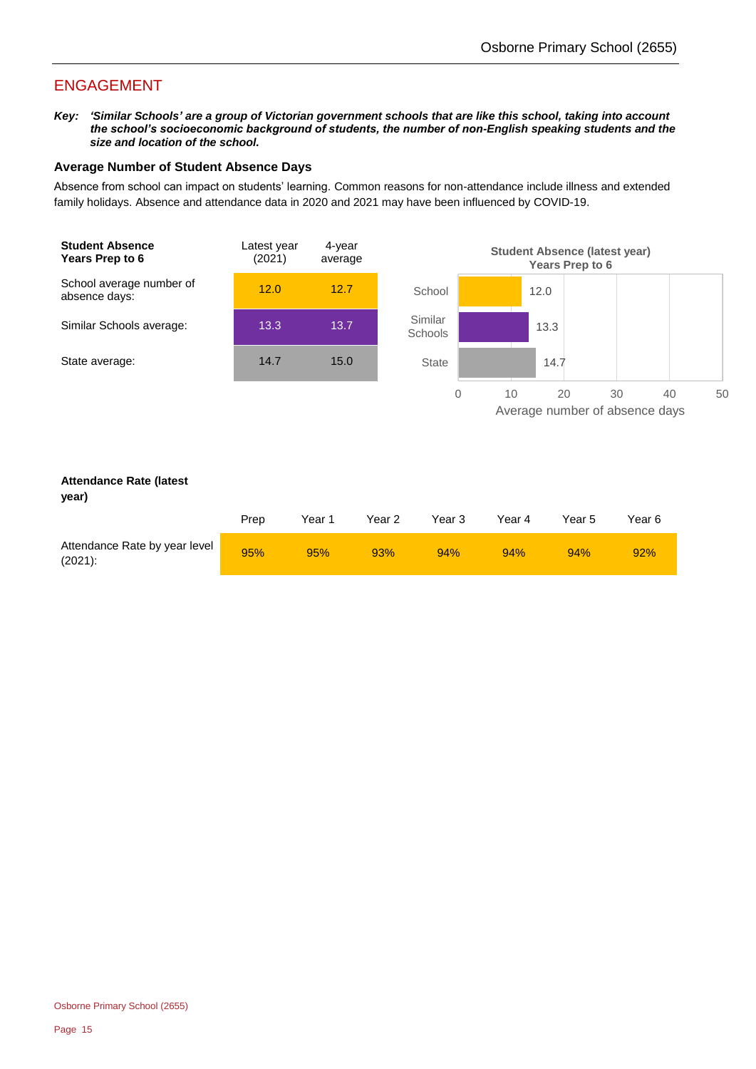## ENGAGEMENT

*Key: 'Similar Schools' are a group of Victorian government schools that are like this school, taking into account the school's socioeconomic background of students, the number of non-English speaking students and the size and location of the school.*

#### **Average Number of Student Absence Days**

Absence from school can impact on students' learning. Common reasons for non-attendance include illness and extended family holidays. Absence and attendance data in 2020 and 2021 may have been influenced by COVID-19.



## **year)**

| Jean I                                      |      |                   |        |        |        |        |        |
|---------------------------------------------|------|-------------------|--------|--------|--------|--------|--------|
|                                             | Prep | Year <sup>1</sup> | Year 2 | Year 3 | Year 4 | Year 5 | Year 6 |
| Attendance Rate by year level<br>$(2021)$ : | 95%  | 95%               | 93%    | 94%    | 94%    | 94%    | 92%    |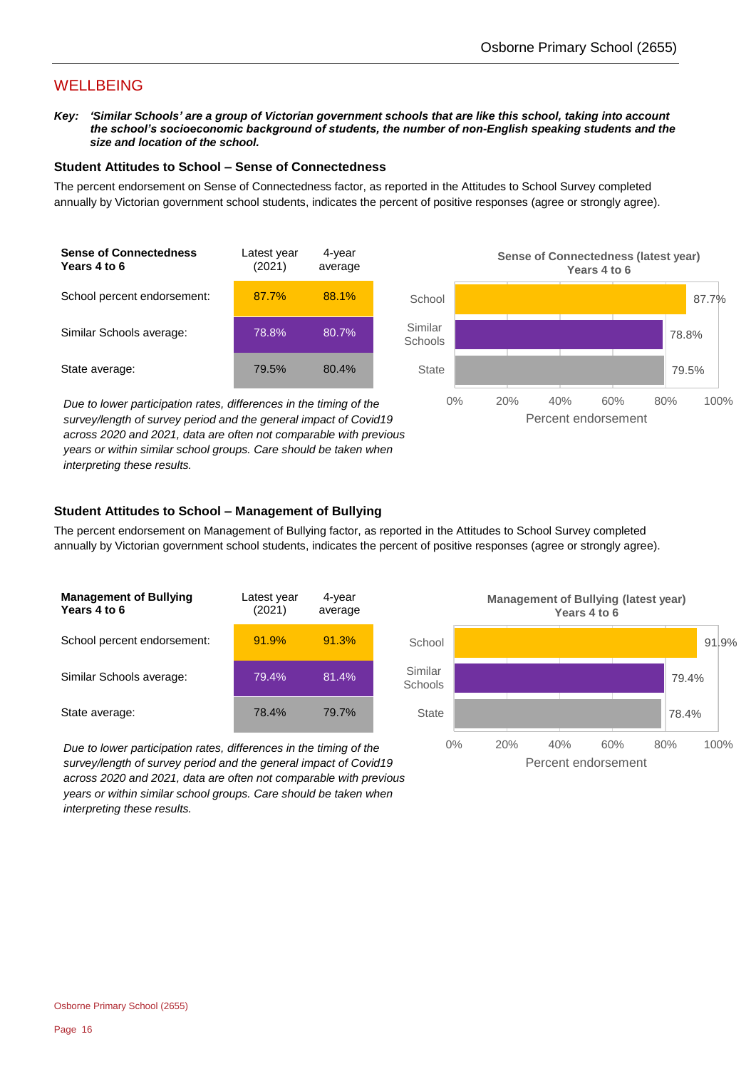## WELLBEING

*Key: 'Similar Schools' are a group of Victorian government schools that are like this school, taking into account the school's socioeconomic background of students, the number of non-English speaking students and the size and location of the school.*

#### **Student Attitudes to School – Sense of Connectedness**

The percent endorsement on Sense of Connectedness factor, as reported in the Attitudes to School Survey completed annually by Victorian government school students, indicates the percent of positive responses (agree or strongly agree).



*Due to lower participation rates, differences in the timing of the survey/length of survey period and the general impact of Covid19 across 2020 and 2021, data are often not comparable with previous years or within similar school groups. Care should be taken when interpreting these results.*



### **Student Attitudes to School – Management of Bullying**

The percent endorsement on Management of Bullying factor, as reported in the Attitudes to School Survey completed annually by Victorian government school students, indicates the percent of positive responses (agree or strongly agree).



*Due to lower participation rates, differences in the timing of the survey/length of survey period and the general impact of Covid19 across 2020 and 2021, data are often not comparable with previous years or within similar school groups. Care should be taken when interpreting these results.*

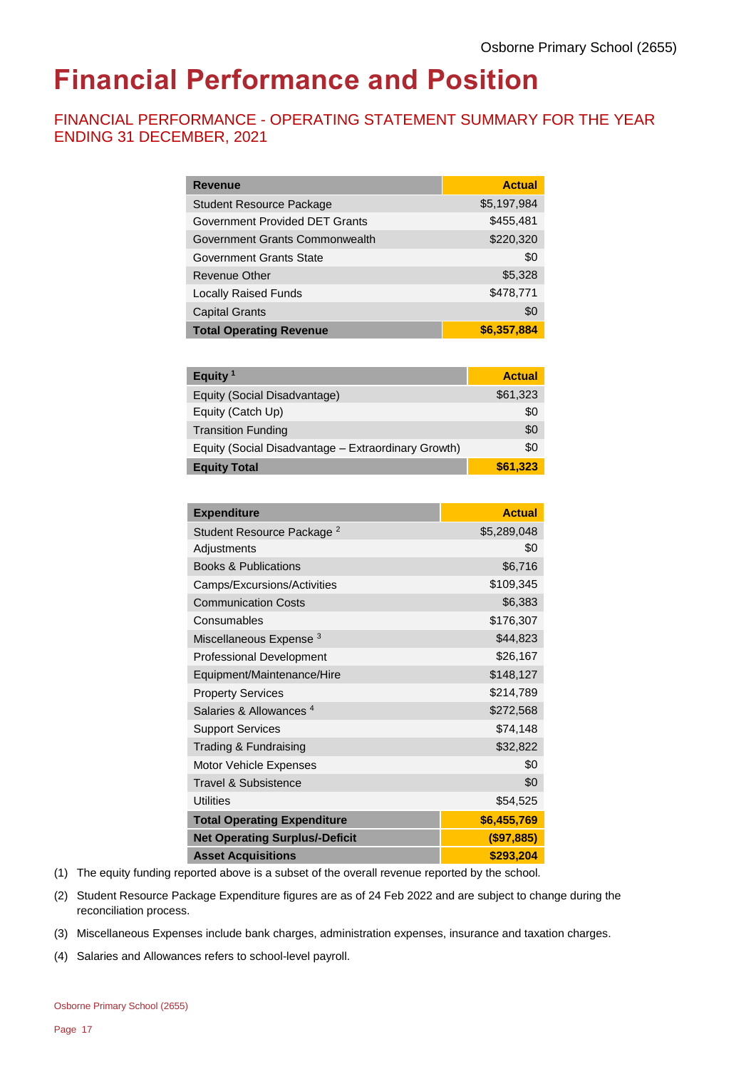## **Financial Performance and Position**

## FINANCIAL PERFORMANCE - OPERATING STATEMENT SUMMARY FOR THE YEAR ENDING 31 DECEMBER, 2021

| <b>Revenue</b>                  | <b>Actual</b> |
|---------------------------------|---------------|
| <b>Student Resource Package</b> | \$5,197,984   |
| Government Provided DET Grants  | \$455,481     |
| Government Grants Commonwealth  | \$220,320     |
| Government Grants State         | \$0           |
| Revenue Other                   | \$5,328       |
| <b>Locally Raised Funds</b>     | \$478,771     |
| <b>Capital Grants</b>           | \$0           |
| <b>Total Operating Revenue</b>  | \$6,357,884   |

| Equity <sup>1</sup>                                 | <b>Actual</b> |
|-----------------------------------------------------|---------------|
| Equity (Social Disadvantage)                        | \$61,323      |
| Equity (Catch Up)                                   | \$0           |
| <b>Transition Funding</b>                           | \$0           |
| Equity (Social Disadvantage - Extraordinary Growth) | \$0           |
| <b>Equity Total</b>                                 | \$61,323      |

| <b>Expenditure</b>                    | <b>Actual</b> |
|---------------------------------------|---------------|
| Student Resource Package <sup>2</sup> | \$5,289,048   |
| Adjustments                           | \$0           |
| <b>Books &amp; Publications</b>       | \$6,716       |
| Camps/Excursions/Activities           | \$109,345     |
| <b>Communication Costs</b>            | \$6,383       |
| Consumables                           | \$176,307     |
| Miscellaneous Expense <sup>3</sup>    | \$44,823      |
| <b>Professional Development</b>       | \$26,167      |
| Equipment/Maintenance/Hire            | \$148,127     |
| <b>Property Services</b>              | \$214,789     |
| Salaries & Allowances <sup>4</sup>    | \$272,568     |
| <b>Support Services</b>               | \$74,148      |
| Trading & Fundraising                 | \$32,822      |
| Motor Vehicle Expenses                | \$0           |
| Travel & Subsistence                  | \$0           |
| <b>Utilities</b>                      | \$54,525      |
| <b>Total Operating Expenditure</b>    | \$6,455,769   |
| <b>Net Operating Surplus/-Deficit</b> | (\$97,885)    |
| <b>Asset Acquisitions</b>             | \$293,204     |

- (1) The equity funding reported above is a subset of the overall revenue reported by the school.
- (2) Student Resource Package Expenditure figures are as of 24 Feb 2022 and are subject to change during the reconciliation process.
- (3) Miscellaneous Expenses include bank charges, administration expenses, insurance and taxation charges.
- (4) Salaries and Allowances refers to school-level payroll.